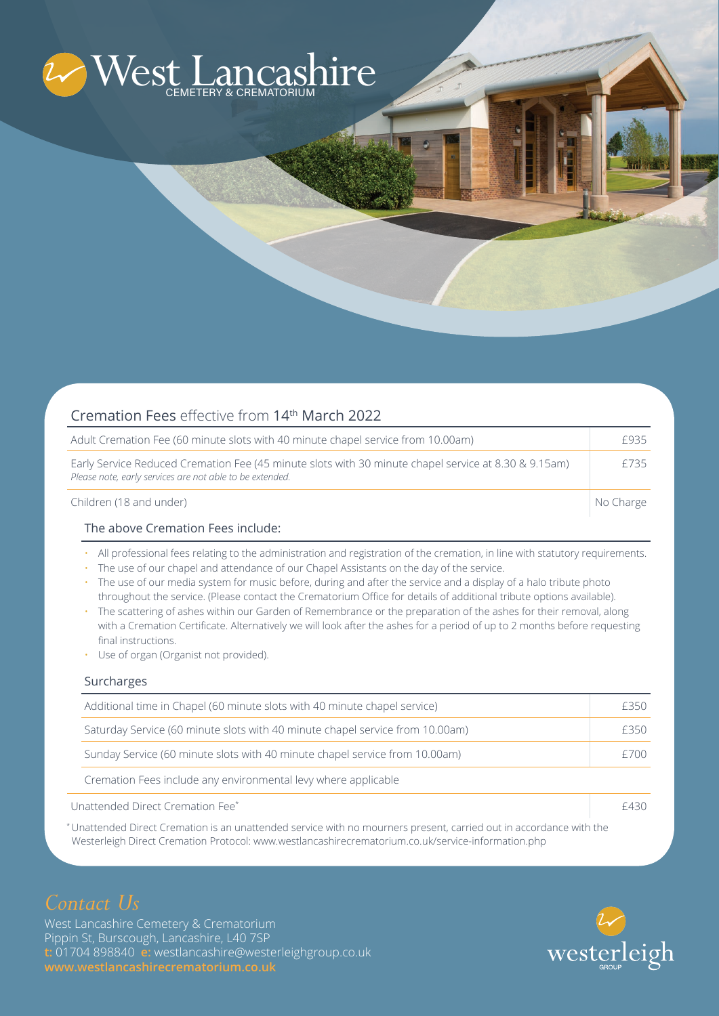

| Cremation Fees effective from 14th March 2022                                                                                                                    |           |
|------------------------------------------------------------------------------------------------------------------------------------------------------------------|-----------|
| Adult Cremation Fee (60 minute slots with 40 minute chapel service from 10.00am)                                                                                 | F935      |
| Early Service Reduced Cremation Fee (45 minute slots with 30 minute chapel service at 8.30 & 9.15am)<br>Please note, early services are not able to be extended. | f735      |
| Children (18 and under)                                                                                                                                          | No Charge |

#### The above Cremation Fees include:

- All professional fees relating to the administration and registration of the cremation, in line with statutory requirements.
- The use of our chapel and attendance of our Chapel Assistants on the day of the service.
- The use of our media system for music before, during and after the service and a display of a halo tribute photo throughout the service. (Please contact the Crematorium Office for details of additional tribute options available).
- The scattering of ashes within our Garden of Remembrance or the preparation of the ashes for their removal, along with a Cremation Certificate. Alternatively we will look after the ashes for a period of up to 2 months before requesting final instructions.
- Use of organ (Organist not provided).

#### Surcharges

|                                  | Additional time in Chapel (60 minute slots with 40 minute chapel service)     | £350 |
|----------------------------------|-------------------------------------------------------------------------------|------|
|                                  | Saturday Service (60 minute slots with 40 minute chapel service from 10.00am) | f350 |
|                                  | Sunday Service (60 minute slots with 40 minute chapel service from 10.00am)   | f700 |
|                                  | Cremation Fees include any environmental levy where applicable                |      |
| Unattended Direct Cremation Fee* |                                                                               | F430 |

\* Unattended Direct Cremation is an unattended service with no mourners present, carried out in accordance with the Westerleigh Direct Cremation Protocol: www.westlancashirecrematorium.co.uk/service-information.php

# *Contact Us*

West Lancashire Cemetery & Crematorium Pippin St, Burscough, Lancashire, L40 7SP **t:** 01704 898840 **e:** westlancashire@westerleighgroup.co.uk